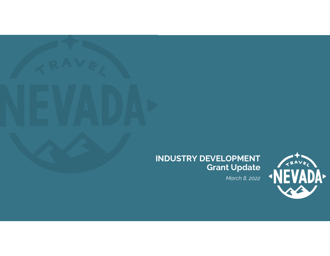

# INDUSTRY DEVELOPMENT<br>Grant Update

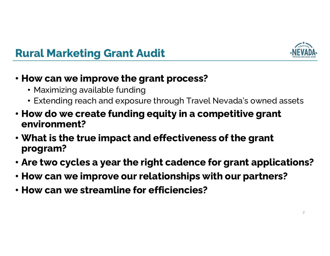

# Rural Marketing Grant Audit

### • How can we improve the grant process?

- Maximizing available funding
- Extending reach and exposure through Travel Nevada's owned assets
- How do we create funding equity in a competitive grant environment?
- What is the true impact and effectiveness of the grant program? • How can we streamline for efficiences of the red program?<br>• Are two cycles a year the right cadence for graphic How can we improve our relationships with ou<br>• How can we streamline for efficiencies?
- Are two cycles a year the right cadence for grant applications?
- How can we improve our relationships with our partners?
-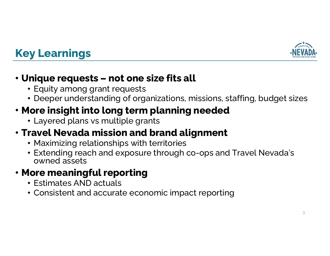

# Key Learnings

## • Unique requests – not one size fits all

- Equity among grant requests
- Deeper understanding of organizations, missions, staffing, budget sizes

## • More insight into long term planning needed

• Layered plans vs multiple grants

## • Travel Nevada mission and brand alignment

- Maximizing relationships with territories
- Extending reach and exposure through co-ops and Travel Nevada's owned assets

## • More meaningful reporting

- Estimates AND actuals
- Consistent and accurate economic impact reporting